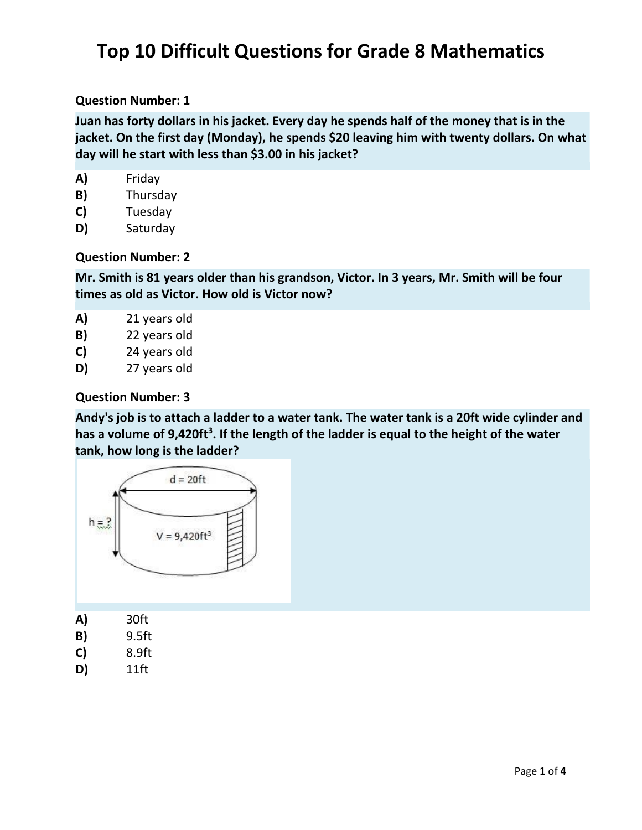# **Top 10 Difficult Questions for Grade 8 Mathematics**

#### **Question Number: 1**

**Juan has forty dollars in his jacket. Every day he spends half of the money that is in the jacket. On the first day (Monday), he spends \$20 leaving him with twenty dollars. On what day will he start with less than \$3.00 in his jacket?**

| A) | Friday |
|----|--------|
|----|--------|

- **B)** Thursday
- **C)** Tuesday
- **D)** Saturday

#### **Question Number: 2**

**Mr. Smith is 81 years older than his grandson, Victor. In 3 years, Mr. Smith will be four times as old as Victor. How old is Victor now?**

- **A)** 21 years old
- **B)** 22 years old
- **C)** 24 years old
- **D)** 27 years old

#### **Question Number: 3**

**Andy's job is to attach a ladder to a water tank. The water tank is a 20ft wide cylinder and has a volume of 9,420ft<sup>3</sup> . If the length of the ladder is equal to the height of the water tank, how long is the ladder?**



| A) | 30ft |
|----|------|
|    |      |

- **B)** 9.5ft
- **C)** 8.9ft
- **D)** 11ft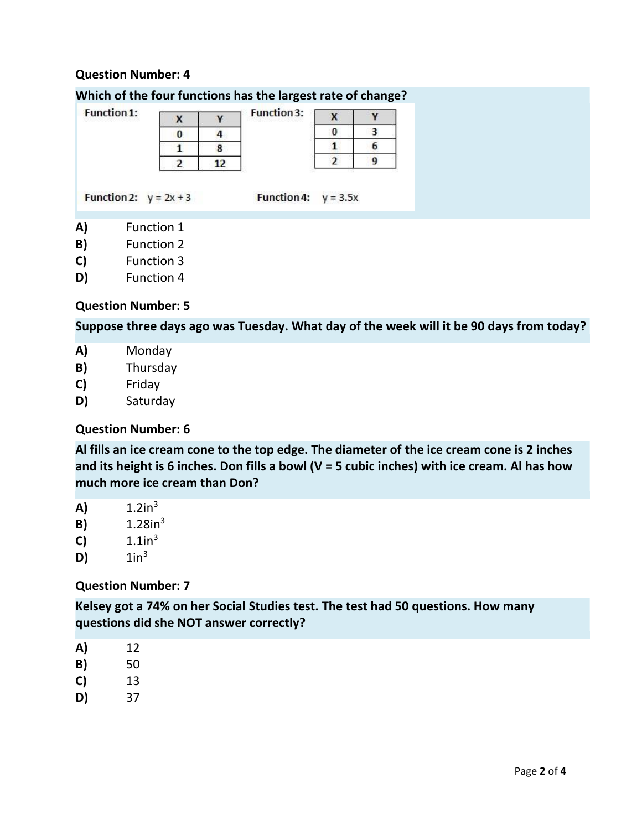## **Question Number: 4**

### **Which of the four functions has the largest rate of change?**

| <b>Function 1:</b> |                          | х |    | <b>Function 3:</b> | x          |   |  |  |
|--------------------|--------------------------|---|----|--------------------|------------|---|--|--|
|                    |                          |   | 4  |                    | 0          | 3 |  |  |
|                    |                          |   |    |                    |            |   |  |  |
|                    |                          |   | 12 |                    |            |   |  |  |
|                    | Function 2: $y = 2x + 3$ |   |    | <b>Function 4:</b> | $y = 3.5x$ |   |  |  |
| A)<br>B)           | Function 1<br>Function 2 |   |    |                    |            |   |  |  |

- **C)** Function 3
- **D)** Function 4

#### **Question Number: 5**

**Suppose three days ago was Tuesday. What day of the week will it be 90 days from today?**

- **A)** Monday
- **B)** Thursday
- **C)** Friday
- **D)** Saturday

# **Question Number: 6**

**Al fills an ice cream cone to the top edge. The diameter of the ice cream cone is 2 inches and its height is 6 inches. Don fills a bowl (V = 5 cubic inches) with ice cream. Al has how much more ice cream than Don?**

- **A)**  $1.2in^3$
- **B)**  $1.28in^3$
- **C)**  $1.1in^3$
- **D)**  $1in^3$

#### **Question Number: 7**

**Kelsey got a 74% on her Social Studies test. The test had 50 questions. How many questions did she NOT answer correctly?**

- **A)** 12
- **B)** 50
- **C)** 13
- **D)** 37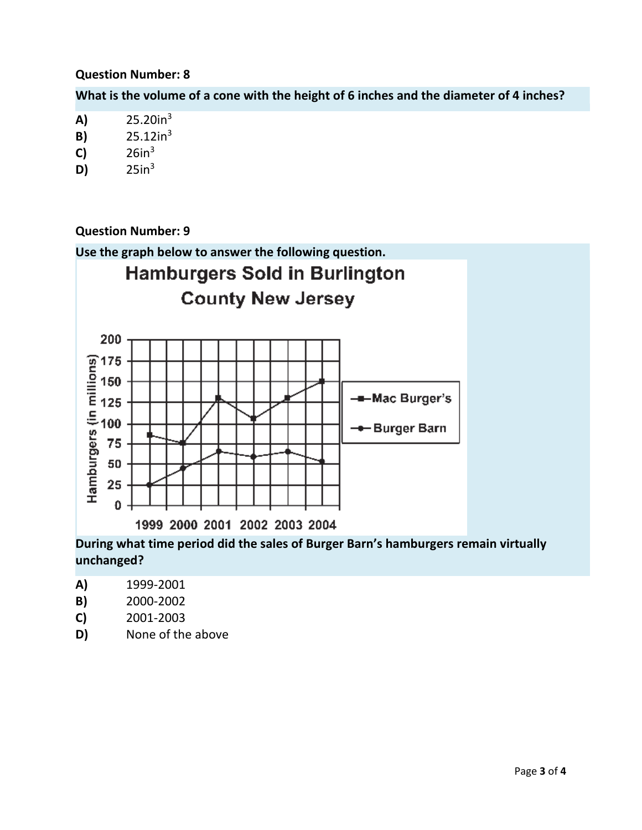## **Question Number: 8**

**What is the volume of a cone with the height of 6 inches and the diameter of 4 inches?**

- **B)** 25.12in<sup>3</sup>
- **C)** 26in<sup>3</sup>
- **D)** 25in<sup>3</sup>

# **Question Number: 9**



**unchanged?**

- **A)** 1999-2001
- **B)** 2000-2002
- **C)** 2001-2003
- **D)** None of the above